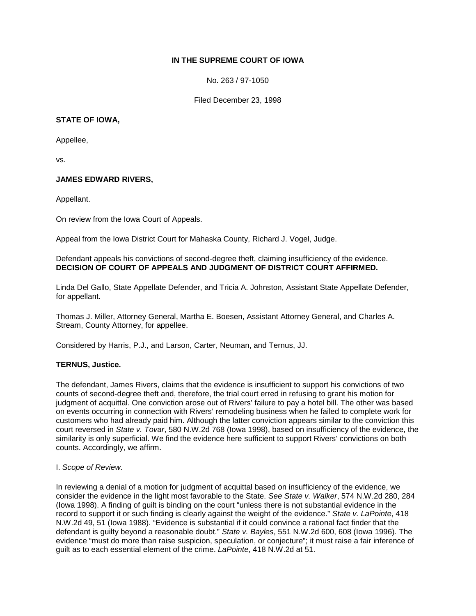# **IN THE SUPREME COURT OF IOWA**

No. 263 / 97-1050

Filed December 23, 1998

# **STATE OF IOWA,**

Appellee,

vs.

# **JAMES EDWARD RIVERS,**

Appellant.

On review from the Iowa Court of Appeals.

Appeal from the Iowa District Court for Mahaska County, Richard J. Vogel, Judge.

Defendant appeals his convictions of second-degree theft, claiming insufficiency of the evidence. **DECISION OF COURT OF APPEALS AND JUDGMENT OF DISTRICT COURT AFFIRMED.**

Linda Del Gallo, State Appellate Defender, and Tricia A. Johnston, Assistant State Appellate Defender, for appellant.

Thomas J. Miller, Attorney General, Martha E. Boesen, Assistant Attorney General, and Charles A. Stream, County Attorney, for appellee.

Considered by Harris, P.J., and Larson, Carter, Neuman, and Ternus, JJ.

### **TERNUS, Justice.**

The defendant, James Rivers, claims that the evidence is insufficient to support his convictions of two counts of second-degree theft and, therefore, the trial court erred in refusing to grant his motion for judgment of acquittal. One conviction arose out of Rivers' failure to pay a hotel bill. The other was based on events occurring in connection with Rivers' remodeling business when he failed to complete work for customers who had already paid him. Although the latter conviction appears similar to the conviction this court reversed in *State v. Tovar*, 580 N.W.2d 768 (Iowa 1998), based on insufficiency of the evidence, the similarity is only superficial. We find the evidence here sufficient to support Rivers' convictions on both counts. Accordingly, we affirm.

### I. *Scope of Review.*

In reviewing a denial of a motion for judgment of acquittal based on insufficiency of the evidence, we consider the evidence in the light most favorable to the State. *See State v. Walker*, 574 N.W.2d 280, 284 (Iowa 1998). A finding of guilt is binding on the court "unless there is not substantial evidence in the record to support it or such finding is clearly against the weight of the evidence." *State v. LaPointe*, 418 N.W.2d 49, 51 (Iowa 1988). "Evidence is substantial if it could convince a rational fact finder that the defendant is guilty beyond a reasonable doubt." *State v. Bayles*, 551 N.W.2d 600, 608 (Iowa 1996). The evidence "must do more than raise suspicion, speculation, or conjecture"; it must raise a fair inference of guilt as to each essential element of the crime. *LaPointe*, 418 N.W.2d at 51.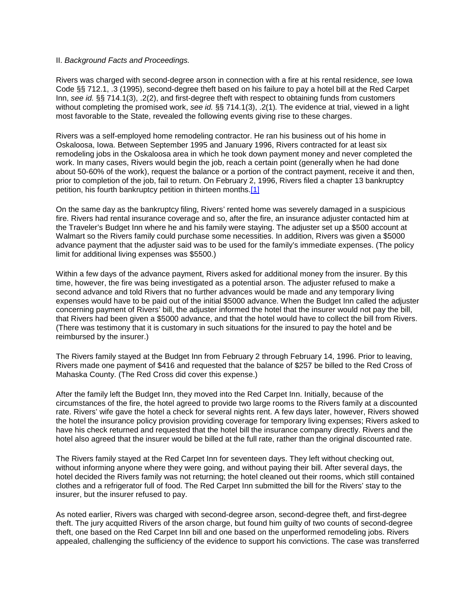#### II. *Background Facts and Proceedings.*

Rivers was charged with second-degree arson in connection with a fire at his rental residence, *see* Iowa Code §§ 712.1, .3 (1995), second-degree theft based on his failure to pay a hotel bill at the Red Carpet Inn, *see id.* §§ 714.1(3), .2(2), and first-degree theft with respect to obtaining funds from customers without completing the promised work, *see id.* §§ 714.1(3), .2(1)*.* The evidence at trial, viewed in a light most favorable to the State, revealed the following events giving rise to these charges.

Rivers was a self-employed home remodeling contractor. He ran his business out of his home in Oskaloosa, Iowa. Between September 1995 and January 1996, Rivers contracted for at least six remodeling jobs in the Oskaloosa area in which he took down payment money and never completed the work. In many cases, Rivers would begin the job, reach a certain point (generally when he had done about 50-60% of the work), request the balance or a portion of the contract payment, receive it and then, prior to completion of the job, fail to return. On February 2, 1996, Rivers filed a chapter 13 bankruptcy petition, his fourth bankruptcy petition in thirteen months[.\[1\]](http://www.iowacourts.gov/About_the_Courts/Supreme_Court/Supreme_Court_Opinions/Recent_Opinions/19981223/97-1050.asp?Printable=true#fn1)

On the same day as the bankruptcy filing, Rivers' rented home was severely damaged in a suspicious fire. Rivers had rental insurance coverage and so, after the fire, an insurance adjuster contacted him at the Traveler's Budget Inn where he and his family were staying. The adjuster set up a \$500 account at Walmart so the Rivers family could purchase some necessities. In addition, Rivers was given a \$5000 advance payment that the adjuster said was to be used for the family's immediate expenses. (The policy limit for additional living expenses was \$5500.)

Within a few days of the advance payment, Rivers asked for additional money from the insurer. By this time, however, the fire was being investigated as a potential arson. The adjuster refused to make a second advance and told Rivers that no further advances would be made and any temporary living expenses would have to be paid out of the initial \$5000 advance. When the Budget Inn called the adjuster concerning payment of Rivers' bill, the adjuster informed the hotel that the insurer would not pay the bill, that Rivers had been given a \$5000 advance, and that the hotel would have to collect the bill from Rivers. (There was testimony that it is customary in such situations for the insured to pay the hotel and be reimbursed by the insurer.)

The Rivers family stayed at the Budget Inn from February 2 through February 14, 1996. Prior to leaving, Rivers made one payment of \$416 and requested that the balance of \$257 be billed to the Red Cross of Mahaska County. (The Red Cross did cover this expense.)

After the family left the Budget Inn, they moved into the Red Carpet Inn. Initially, because of the circumstances of the fire, the hotel agreed to provide two large rooms to the Rivers family at a discounted rate. Rivers' wife gave the hotel a check for several nights rent. A few days later, however, Rivers showed the hotel the insurance policy provision providing coverage for temporary living expenses; Rivers asked to have his check returned and requested that the hotel bill the insurance company directly. Rivers and the hotel also agreed that the insurer would be billed at the full rate, rather than the original discounted rate.

The Rivers family stayed at the Red Carpet Inn for seventeen days. They left without checking out, without informing anyone where they were going, and without paying their bill. After several days, the hotel decided the Rivers family was not returning; the hotel cleaned out their rooms, which still contained clothes and a refrigerator full of food. The Red Carpet Inn submitted the bill for the Rivers' stay to the insurer, but the insurer refused to pay.

As noted earlier, Rivers was charged with second-degree arson, second-degree theft, and first-degree theft. The jury acquitted Rivers of the arson charge, but found him guilty of two counts of second-degree theft, one based on the Red Carpet Inn bill and one based on the unperformed remodeling jobs. Rivers appealed, challenging the sufficiency of the evidence to support his convictions. The case was transferred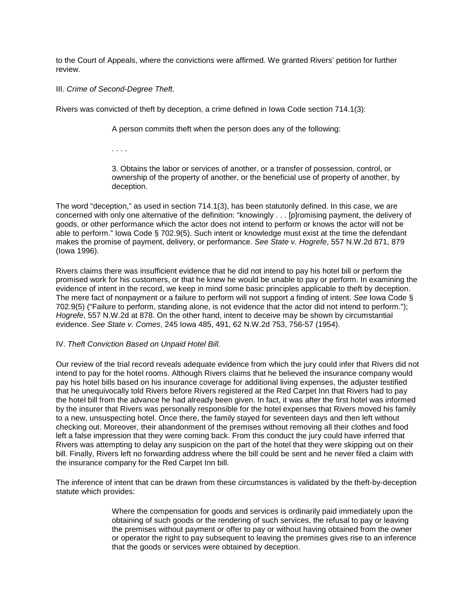to the Court of Appeals, where the convictions were affirmed. We granted Rivers' petition for further review.

III. *Crime of Second-Degree Theft.*

Rivers was convicted of theft by deception, a crime defined in Iowa Code section 714.1(3):

A person commits theft when the person does any of the following:

. . . .

3. Obtains the labor or services of another, or a transfer of possession, control, or ownership of the property of another, or the beneficial use of property of another, by deception.

The word "deception," as used in section 714.1(3), has been statutorily defined. In this case, we are concerned with only one alternative of the definition: "knowingly . . . [p]romising payment, the delivery of goods, or other performance which the actor does not intend to perform or knows the actor will not be able to perform." Iowa Code § 702.9(5). Such intent or knowledge must exist at the time the defendant makes the promise of payment, delivery, or performance. *See State v. Hogrefe*, 557 N.W.2d 871, 879 (Iowa 1996).

Rivers claims there was insufficient evidence that he did not intend to pay his hotel bill or perform the promised work for his customers, or that he knew he would be unable to pay or perform. In examining the evidence of intent in the record, we keep in mind some basic principles applicable to theft by deception. The mere fact of nonpayment or a failure to perform will not support a finding of intent. *See* Iowa Code § 702.9(5) ("Failure to perform, standing alone, is not evidence that the actor did not intend to perform."); *Hogrefe*, 557 N.W.2d at 878. On the other hand, intent to deceive may be shown by circumstantial evidence. *See State v. Comes*, 245 Iowa 485, 491, 62 N.W.2d 753, 756-57 (1954).

# IV. *Theft Conviction Based on Unpaid Hotel Bill.*

Our review of the trial record reveals adequate evidence from which the jury could infer that Rivers did not intend to pay for the hotel rooms. Although Rivers claims that he believed the insurance company would pay his hotel bills based on his insurance coverage for additional living expenses, the adjuster testified that he unequivocally told Rivers before Rivers registered at the Red Carpet Inn that Rivers had to pay the hotel bill from the advance he had already been given. In fact, it was after the first hotel was informed by the insurer that Rivers was personally responsible for the hotel expenses that Rivers moved his family to a new, unsuspecting hotel. Once there, the family stayed for seventeen days and then left without checking out. Moreover, their abandonment of the premises without removing all their clothes and food left a false impression that they were coming back. From this conduct the jury could have inferred that Rivers was attempting to delay any suspicion on the part of the hotel that they were skipping out on their bill. Finally, Rivers left no forwarding address where the bill could be sent and he never filed a claim with the insurance company for the Red Carpet Inn bill.

The inference of intent that can be drawn from these circumstances is validated by the theft-by-deception statute which provides:

> Where the compensation for goods and services is ordinarily paid immediately upon the obtaining of such goods or the rendering of such services, the refusal to pay or leaving the premises without payment or offer to pay or without having obtained from the owner or operator the right to pay subsequent to leaving the premises gives rise to an inference that the goods or services were obtained by deception.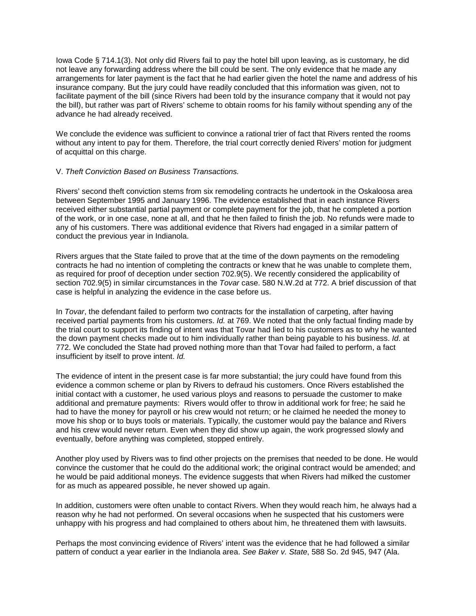Iowa Code § 714.1(3). Not only did Rivers fail to pay the hotel bill upon leaving, as is customary, he did not leave any forwarding address where the bill could be sent. The only evidence that he made any arrangements for later payment is the fact that he had earlier given the hotel the name and address of his insurance company. But the jury could have readily concluded that this information was given, not to facilitate payment of the bill (since Rivers had been told by the insurance company that it would not pay the bill), but rather was part of Rivers' scheme to obtain rooms for his family without spending any of the advance he had already received.

We conclude the evidence was sufficient to convince a rational trier of fact that Rivers rented the rooms without any intent to pay for them. Therefore, the trial court correctly denied Rivers' motion for judgment of acquittal on this charge.

# V. *Theft Conviction Based on Business Transactions.*

Rivers' second theft conviction stems from six remodeling contracts he undertook in the Oskaloosa area between September 1995 and January 1996. The evidence established that in each instance Rivers received either substantial partial payment or complete payment for the job, that he completed a portion of the work, or in one case, none at all, and that he then failed to finish the job. No refunds were made to any of his customers. There was additional evidence that Rivers had engaged in a similar pattern of conduct the previous year in Indianola.

Rivers argues that the State failed to prove that at the time of the down payments on the remodeling contracts he had no intention of completing the contracts or knew that he was unable to complete them, as required for proof of deception under section 702.9(5). We recently considered the applicability of section 702.9(5) in similar circumstances in the *Tovar* case. 580 N.W.2d at 772. A brief discussion of that case is helpful in analyzing the evidence in the case before us.

In *Tovar*, the defendant failed to perform two contracts for the installation of carpeting, after having received partial payments from his customers. *Id.* at 769. We noted that the only factual finding made by the trial court to support its finding of intent was that Tovar had lied to his customers as to why he wanted the down payment checks made out to him individually rather than being payable to his business. *Id*. at 772. We concluded the State had proved nothing more than that Tovar had failed to perform, a fact insufficient by itself to prove intent. *Id.*

The evidence of intent in the present case is far more substantial; the jury could have found from this evidence a common scheme or plan by Rivers to defraud his customers. Once Rivers established the initial contact with a customer, he used various ploys and reasons to persuade the customer to make additional and premature payments: Rivers would offer to throw in additional work for free; he said he had to have the money for payroll or his crew would not return; or he claimed he needed the money to move his shop or to buys tools or materials. Typically, the customer would pay the balance and Rivers and his crew would never return. Even when they did show up again, the work progressed slowly and eventually, before anything was completed, stopped entirely.

Another ploy used by Rivers was to find other projects on the premises that needed to be done. He would convince the customer that he could do the additional work; the original contract would be amended; and he would be paid additional moneys. The evidence suggests that when Rivers had milked the customer for as much as appeared possible, he never showed up again.

In addition, customers were often unable to contact Rivers. When they would reach him, he always had a reason why he had not performed. On several occasions when he suspected that his customers were unhappy with his progress and had complained to others about him, he threatened them with lawsuits.

Perhaps the most convincing evidence of Rivers' intent was the evidence that he had followed a similar pattern of conduct a year earlier in the Indianola area. *See Baker v. State*, 588 So. 2d 945, 947 (Ala.